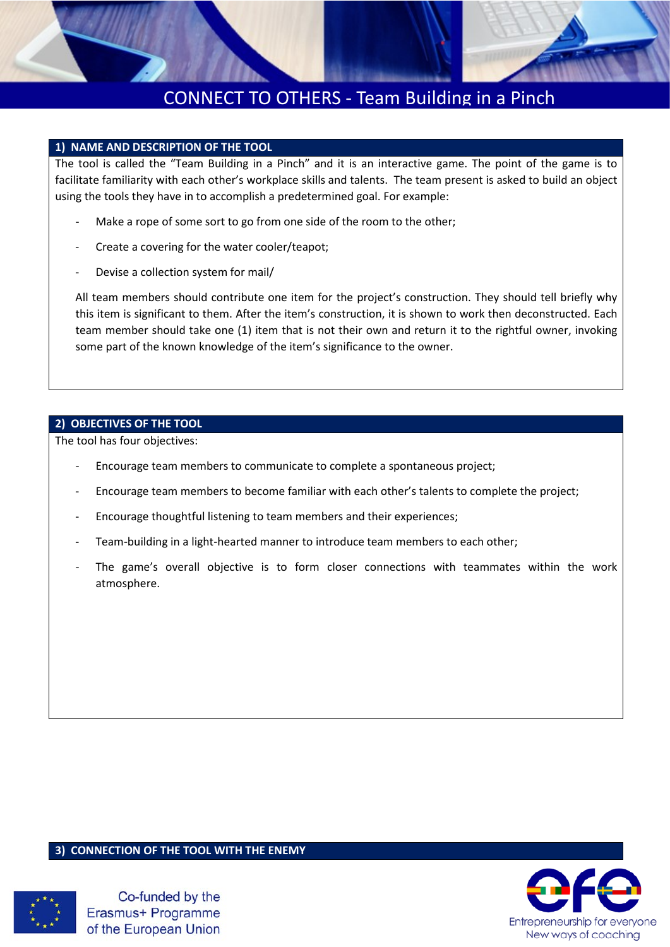

# CONNECT TO OTHERS - Team Building in a Pinch

### **1) NAME AND DESCRIPTION OF THE TOOL**

The tool is called the "Team Building in a Pinch" and it is an interactive game. The point of the game is to facilitate familiarity with each other's workplace skills and talents. The team present is asked to build an object using the tools they have in to accomplish a predetermined goal. For example:

- Make a rope of some sort to go from one side of the room to the other;
- Create a covering for the water cooler/teapot;
- Devise a collection system for mail/

All team members should contribute one item for the project's construction. They should tell briefly why this item is significant to them. After the item's construction, it is shown to work then deconstructed. Each team member should take one (1) item that is not their own and return it to the rightful owner, invoking some part of the known knowledge of the item's significance to the owner.

### **2) OBJECTIVES OF THE TOOL**

The tool has four objectives:

- Encourage team members to communicate to complete a spontaneous project;
- Encourage team members to become familiar with each other's talents to complete the project;
- Encourage thoughtful listening to team members and their experiences;
- Team-building in a light-hearted manner to introduce team members to each other;
- The game's overall objective is to form closer connections with teammates within the work atmosphere.

#### **3) CONNECTION OF THE TOOL WITH THE ENEMY**



Co-funded by the Erasmus+ Programme of the European Union

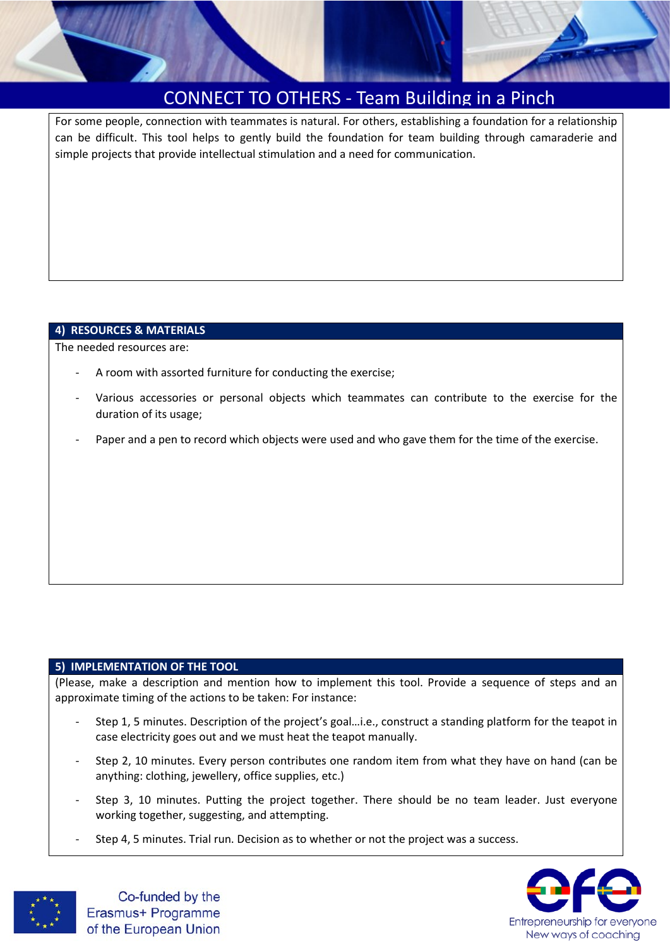

## CONNECT TO OTHERS - Team Building in a Pinch

For some people, connection with teammates is natural. For others, establishing a foundation for a relationship can be difficult. This tool helps to gently build the foundation for team building through camaraderie and simple projects that provide intellectual stimulation and a need for communication.

### **4) RESOURCES & MATERIALS**

The needed resources are:

- A room with assorted furniture for conducting the exercise;
- Various accessories or personal objects which teammates can contribute to the exercise for the duration of its usage;
- Paper and a pen to record which objects were used and who gave them for the time of the exercise.

### **5) IMPLEMENTATION OF THE TOOL**

(Please, make a description and mention how to implement this tool. Provide a sequence of steps and an approximate timing of the actions to be taken: For instance:

- Step 1, 5 minutes. Description of the project's goal…i.e., construct a standing platform for the teapot in case electricity goes out and we must heat the teapot manually.
- Step 2, 10 minutes. Every person contributes one random item from what they have on hand (can be anything: clothing, jewellery, office supplies, etc.)
- Step 3, 10 minutes. Putting the project together. There should be no team leader. Just everyone working together, suggesting, and attempting.
- Step 4, 5 minutes. Trial run. Decision as to whether or not the project was a success.



Co-funded by the Erasmus+ Programme of the European Union